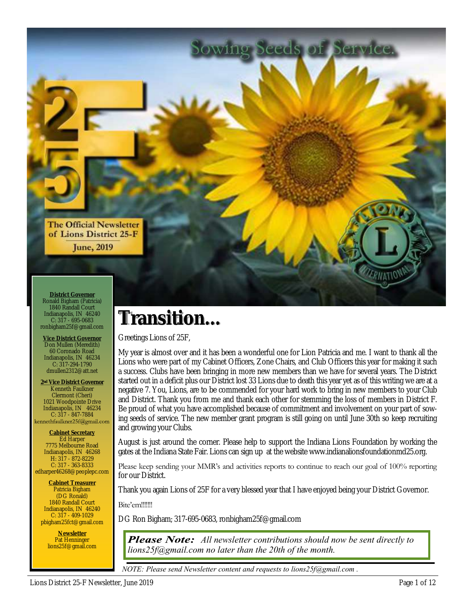

**District Governor** Ronald Bigham (Patricia) 1840 Randall Court Indianapolis, IN 46240 C: 317 - 695-0683 ronbigham25f@gmail.com

**Vice District Governor** Don Mullen (Meredith) 60 Coronado Road Indianapolis, IN 46234 C: 317-294-1790 dmullen2312@att.net

**2nd Vice District Governor** Kenneth Faulkner Clermont (Cheri) 1021 Woodpointe Drive Indianapolis, IN 46234  $C: 317 - 847 - 7884$ <br>kennethfaulkner25f@gmail.com

**Cabinet Secretary** Ed Harper 7775 Melbourne Road Indianapolis, IN 46268 H: 317 - 872-8229 C: 317 - 363-8333 edharper46268@peoplepc.com

**Cabinet Treasurer** Patricia Bigham (DG Ronald) 1840 Randall Court Indianapolis, IN 46240 C: 317 - 409-1029 pbigham25fct@gmail.com

> **Newsletter** Pat Henninger lions25f@gmail.com

## **Transition...**

Greetings Lions of 25F,

My year is almost over and it has been a wonderful one for Lion Patricia and me. I want to thank all the Lions who were part of my Cabinet Officers, Zone Chairs, and Club Officers this year for making it such a success. Clubs have been bringing in more new members than we have for several years. The District started out in a deficit plus our District lost 33 Lions due to death this year yet as of this writing we are at a negative 7. You, Lions, are to be commended for your hard work to bring in new members to your Club and District. Thank you from me and thank each other for stemming the loss of members in District F. Be proud of what you have accomplished because of commitment and involvement on your part of sowing seeds of service. The new member grant program is still going on until June 30th so keep recruiting and growing your Clubs.

Sowing Seeds of Service.

August is just around the corner. Please help to support the Indiana Lions Foundation by working the gates at the Indiana State Fair. Lions can sign up at the website www.indianalionsfoundationmd25.org.

Please keep sending your MMR's and activities reports to continue to reach our goal of 100% reporting for our District.

Thank you again Lions of 25F for a very blessed year that I have enjoyed being your District Governor.

Bite'em!!!!!!!

DG Ron Bigham; 317-695-0683, ronbigham25f@gmail.com

*All newsletter contributions should now be sent directly to lions25f@gmail.com no later than the 20th of the month.*

*NOTE: Please send Newsletter content and requests to lions25f@gmail.com .*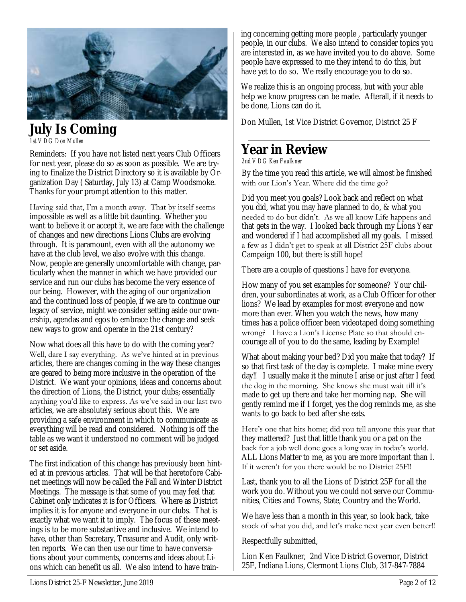

## **July Is Coming**

*1st VDG Don Mullen*

Reminders: If you have not listed next years Club Officers for next year, please do so as soon as possible. We are trying to finalize the District Directory so it is available by Organization Day ( Saturday, July 13) at Camp Woodsmoke. Thanks for your prompt attention to this matter.

Having said that, I'm a month away. That by itself seems impossible as well as a little bit daunting. Whether you want to believe it or accept it, we are face with the challenge of changes and new directions Lions Clubs are evolving through. It is paramount, even with all the autonomy we have at the club level, we also evolve with this change. Now, people are generally uncomfortable with change, particularly when the manner in which we have provided our service and run our clubs has become the very essence of our being. However, with the aging of our organization and the continued loss of people, if we are to continue our legacy of service, might we consider setting aside our ownership, agendas and egos to embrace the change and seek new ways to grow and operate in the 21st century?

Now what does all this have to do with the coming year? Well, dare I say everything. As we've hinted at in previous articles, there are changes coming in the way these changes are geared to being more inclusive in the operation of the District. We want your opinions, ideas and concerns about the direction of Lions, the District, your clubs; essentially anything you'd like to express. As we've said in our last two articles, we are absolutely serious about this. We are providing a safe environment in which to communicate as everything will be read and considered. Nothing is off the table as we want it understood no comment will be judged or set aside.

The first indication of this change has previously been hinted at in previous articles. That will be that heretofore Cabinet meetings will now be called the Fall and Winter District Meetings. The message is that some of you may feel that Cabinet only indicates it is for Officers. Where as District implies it is for anyone and everyone in our clubs. That is exactly what we want it to imply. The focus of these meetings is to be more substantive and inclusive. We intend to have, other than Secretary, Treasurer and Audit, only written reports. We can then use our time to have conversations about your comments, concerns and ideas about Lions which can benefit us all. We also intend to have train-

ing concerning getting more people , particularly younger people, in our clubs. We also intend to consider topics you are interested in, as we have invited you to do above. Some people have expressed to me they intend to do this, but have yet to do so. We really encourage you to do so.

We realize this is an ongoing process, but with your able help we know progress can be made. Afterall, if it needs to be done, Lions can do it.

Don Mullen, 1st Vice District Governor, District 25 F

## **Year in Review**

*2nd VDG Ken Faulkner*

By the time you read this article, we will almost be finished with our Lion's Year. Where did the time go?

Did you meet you goals? Look back and reflect on what you did, what you may have planned to do, & what you needed to do but didn't. As we all know Life happens and that gets in the way. I looked back through my Lions Year and wondered if I had accomplished all my goals. I missed a few as I didn't get to speak at all District 25F clubs about Campaign 100, but there is still hope!

There are a couple of questions I have for everyone.

How many of you set examples for someone? Your children, your subordinates at work, as a Club Officer for other lions? We lead by examples for most everyone and now more than ever. When you watch the news, how many times has a police officer been videotaped doing something wrong? I have a Lion's License Plate so that should encourage all of you to do the same, leading by Example!

What about making your bed? Did you make that today? If so that first task of the day is complete. I make mine every day!! I usually make it the minute I arise or just after I feed the dog in the morning. She knows she must wait till it's made to get up there and take her morning nap. She will gently remind me if I forget, yes the dog reminds me, as she wants to go back to bed after she eats.

Here's one that hits home; did you tell anyone this year that they mattered? Just that little thank you or a pat on the back for a job well done goes a long way in today's world. ALL Lions Matter to me, as you are more important than I. If it weren't for you there would be no District 25F!!

Last, thank you to all the Lions of District 25F for all the work you do. Without you we could not serve our Communities, Cities and Towns, State, Country and the World.

We have less than a month in this year, so look back, take stock of what you did, and let's make next year even better!!

Respectfully submitted,

Lion Ken Faulkner, 2nd Vice District Governor, District 25F, Indiana Lions, Clermont Lions Club, 317-847-7884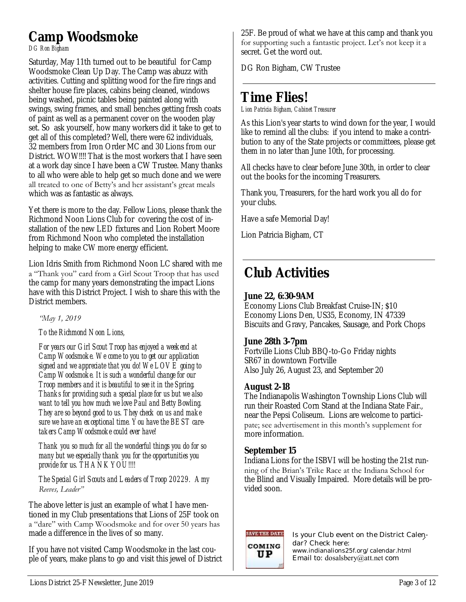#### **Camp Woodsmoke**  *DG Ron Bigham*

Saturday, May 11th turned out to be beautiful for Camp Woodsmoke Clean Up Day. The Camp was abuzz with activities. Cutting and splitting wood for the fire rings and shelter house fire places, cabins being cleaned, windows being washed, picnic tables being painted along with swings, swing frames, and small benches getting fresh coats of paint as well as a permanent cover on the wooden play set. So ask yourself, how many workers did it take to get to get all of this completed? Well, there were 62 individuals, 32 members from Iron Order MC and 30 Lions from our District. WOW!!!! That is the most workers that I have seen at a work day since I have been a CW Trustee. Many thanks to all who were able to help get so much done and we were all treated to one of Betty's and her assistant's great meals which was as fantastic as always.

Yet there is more to the day. Fellow Lions, please thank the Richmond Noon Lions Club for covering the cost of installation of the new LED fixtures and Lion Robert Moore from Richmond Noon who completed the installation helping to make CW more energy efficient.

Lion Idris Smith from Richmond Noon LC shared with me a "Thank you" card from a Girl Scout Troop that has used the camp for many years demonstrating the impact Lions have with this District Project. I wish to share this with the District members.

#### *"May 1, 2019*

#### *To the Richmond Noon Lions,*

*For years our Girl Scout Troop has enjoyed a weekend at Camp Woodsmoke. We come to you to get our application signed and we appreciate that you do! We LOVE going to Camp Woodsmoke. It is such a wonderful change for our Troop members and it is beautiful to see it in the Spring. Thanks for providing such a special place for us but we also want to tell you how much we love Paul and Betty Bowling. They are so beyond good to us. They check on us and make sure we have an exceptional time. You have the BEST caretakers Camp Woodsmoke could ever have!* 

*Thank you so much for all the wonderful things you do for so many but we especially thank you for the opportunities you provide for us. THANK YOU!!!!*

#### *The Special Girl Scouts and Leaders of Troop 20229. Amy Reeves, Leader"*

The above letter is just an example of what I have mentioned in my Club presentations that Lions of 25F took on a "dare" with Camp Woodsmoke and for over 50 years has made a difference in the lives of so many.

If you have not visited Camp Woodsmoke in the last couple of years, make plans to go and visit this jewel of District 25F. Be proud of what we have at this camp and thank you for supporting such a fantastic project. Let's not keep it a secret. Get the word out.

DG Ron Bigham, CW Trustee

## **Time Flies!**

*Lion Patricia Bigham, Cabinet Treasurer*

As this Lion's year starts to wind down for the year, I would like to remind all the clubs: if you intend to make a contribution to any of the State projects or committees, please get them in no later than June 10th, for processing.

All checks have to clear before June 30th, in order to clear out the books for the incoming Treasurers.

Thank you, Treasurers, for the hard work you all do for your clubs.

Have a safe Memorial Day!

Lion Patricia Bigham, CT

## **Club Activities**

#### **June 22, 6:30-9AM**

Economy Lions Club Breakfast Cruise-IN; \$10 Economy Lions Den, US35, Economy, IN 47339 Biscuits and Gravy, Pancakes, Sausage, and Pork Chops

#### **June 28th 3-7pm**

Fortville Lions Club BBQ-to-Go Friday nights SR67 in downtown Fortville Also July 26, August 23, and September 20

#### **August 2-18**

The Indianapolis Washington Township Lions Club will run their Roasted Corn Stand at the Indiana State Fair., near the Pepsi Coliseum. Lions are welcome to participate; see advertisement in this month's supplement for more information.

#### **September 15**

Indiana Lions for the ISBVI will be hosting the 21st running of the Brian's Trike Race at the Indiana School for the Blind and Visually Impaired. More details will be provided soon.

### **SAVE THE DATE** COMING UP

Is your Club event on the District Calendar? Check here: www.indianalions25f.org/calendar.html Email to: dosalsbery@att.net com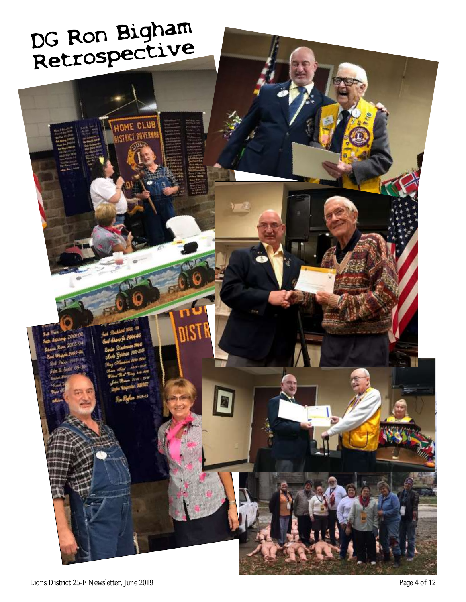# DG Ron Bigham<br>Retrospective

**HOWE CLUB** STRICT GOVERN

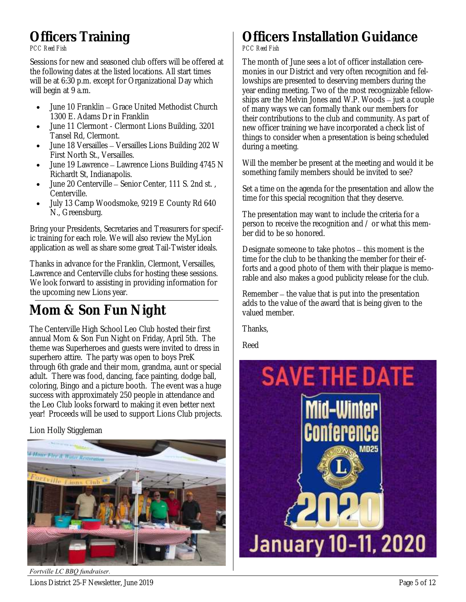## **Officers Training**

*PCC Reed Fish*

Sessions for new and seasoned club offers will be offered at the following dates at the listed locations. All start times will be at 6:30 p.m. except for Organizational Day which will begin at 9 a.m.

- June 10 Franklin Grace United Methodist Church 1300 E. Adams Dr in Franklin
- June 11 Clermont Clermont Lions Building, 3201 Tansel Rd, Clermont.
- June 18 Versailles Versailles Lions Building 202 W First North St., Versailles.
- June 19 Lawrence Lawrence Lions Building 4745 N Richardt St, Indianapolis.
- June 20 Centerville Senior Center, 111 S. 2nd st. , Centerville.
- July 13 Camp Woodsmoke, 9219 E County Rd 640 N., Greensburg.

Bring your Presidents, Secretaries and Treasurers for specific training for each role. We will also review the MyLion application as well as share some great Tail-Twister ideals.

Thanks in advance for the Franklin, Clermont, Versailles, Lawrence and Centerville clubs for hosting these sessions. We look forward to assisting in providing information for the upcoming new Lions year.

## **Mom & Son Fun Night**

The Centerville High School Leo Club hosted their first annual Mom & Son Fun Night on Friday, April 5th. The theme was Superheroes and guests were invited to dress in superhero attire. The party was open to boys PreK through 6th grade and their mom, grandma, aunt or special adult. There was food, dancing, face painting, dodge ball, coloring, Bingo and a picture booth. The event was a huge success with approximately 250 people in attendance and the Leo Club looks forward to making it even better next year! Proceeds will be used to support Lions Club projects.

#### Lion Holly Stiggleman



Lions District 25-F Newsletter, June 2019 **Page 5 of 12** and the state of the state of the Page 5 of 12 *Fortville LC BBQ fundraiser.*

### **Officers Installation Guidance** *PCC Reed Fish*

The month of June sees a lot of officer installation ceremonies in our District and very often recognition and fellowships are presented to deserving members during the year ending meeting. Two of the most recognizable fellowships are the Melvin Jones and W.P. Woods – just a couple of many ways we can formally thank our members for their contributions to the club and community. As part of new officer training we have incorporated a check list of things to consider when a presentation is being scheduled during a meeting.

Will the member be present at the meeting and would it be something family members should be invited to see?

Set a time on the agenda for the presentation and allow the time for this special recognition that they deserve.

The presentation may want to include the criteria for a person to receive the recognition and / or what this member did to be so honored.

Designate someone to take photos – this moment is the time for the club to be thanking the member for their efforts and a good photo of them with their plaque is memorable and also makes a good publicity release for the club.

Remember – the value that is put into the presentation adds to the value of the award that is being given to the valued member.

Thanks,

Reed

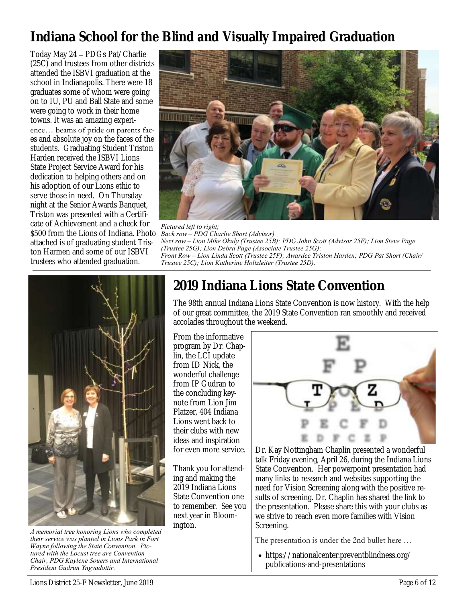## **Indiana School for the Blind and Visually Impaired Graduation**

Today May 24 – PDGs Pat/Charlie (25C) and trustees from other districts attended the ISBVI graduation at the school in Indianapolis. There were 18 graduates some of whom were going on to IU, PU and Ball State and some were going to work in their home towns. It was an amazing experience… beams of pride on parents faces and absolute joy on the faces of the students. Graduating Student Triston Harden received the ISBVI Lions State Project Service Award for his dedication to helping others and on his adoption of our Lions ethic to serve those in need. On Thursday night at the Senior Awards Banquet, Triston was presented with a Certificate of Achievement and a check for \$500 from the Lions of Indiana. Photo *Back row – PDG Charlie Short (Advisor)* attached is of graduating student Triston Harmen and some of our ISBVI trustees who attended graduation.



*Pictured left to right; Next row – Lion Mike Okuly (Trustee 25B); PDG John Scott (Advisor 25F); Lion Steve Page (Trustee 25G); Lion Debra Page (Associate Trustee 25G); Front Row – Lion Linda Scott (Trustee 25F); Awardee Triston Harden; PDG Pat Short (Chair/ Trustee 25C); Lion Katherine Holtzleiter (Trustee 25D).*



*A memorial tree honoring Lions who completed their service was planted in Lions Park in Fort Wayne following the State Convention. Pictured with the Locust tree are Convention Chair, PDG Kaylene Souers and International President Gudrun Yngvadottir.*

## **2019 Indiana Lions State Convention**

The 98th annual Indiana Lions State Convention is now history. With the help of our great committee, the 2019 State Convention ran smoothly and received accolades throughout the weekend.

From the informative program by Dr. Chaplin, the LCI update from ID Nick, the wonderful challenge from IP Gudran to the concluding keynote from Lion Jim Platzer, 404 Indiana Lions went back to their clubs with new ideas and inspiration for even more service.

Thank you for attending and making the 2019 Indiana Lions State Convention one to remember. See you next year in Bloomington.



Dr. Kay Nottingham Chaplin presented a wonderful talk Friday evening, April 26, during the Indiana Lions State Convention. Her powerpoint presentation had many links to research and websites supporting the need for Vision Screening along with the positive results of screening. Dr. Chaplin has shared the link to the presentation. Please share this with your clubs as we strive to reach even more families with Vision Screening.

The presentation is under the 2nd bullet here …

• https://nationalcenter.preventblindness.org/ publications-and-presentations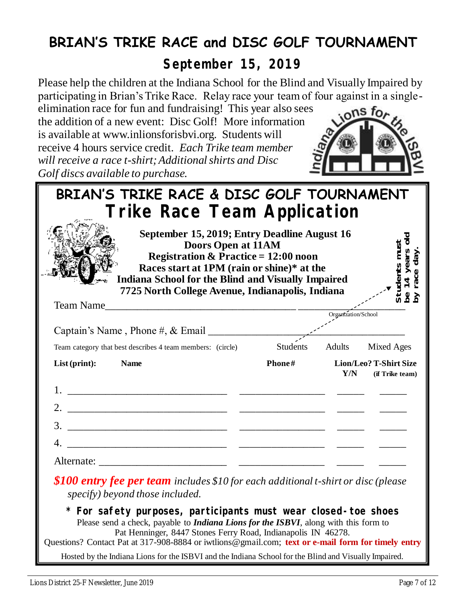## **BRIAN'S TRIKE RACE and DISC GOLF TOURNAMENT**

**September 15, 2019**

Please help the children at the Indiana School for the Blind and Visually Impaired by participating in Brian's Trike Race. Relay race your team of four against in a single-

elimination race for fun and fundraising! This year also sees the addition of a new event: Disc Golf! More information is available at www.inlionsforisbvi.org. Students will receive 4 hours service credit. *Each Trike team member will receive a race t-shirt; Additional shirts and Disc Golf discs available to purchase.*



| BRIAN'S TRIKE RACE & DISC GOLF TOURNAMENT                                                                                                                                                                                                                                                                                             |          |                     |                                           |
|---------------------------------------------------------------------------------------------------------------------------------------------------------------------------------------------------------------------------------------------------------------------------------------------------------------------------------------|----------|---------------------|-------------------------------------------|
| Trike Race Team Application                                                                                                                                                                                                                                                                                                           |          |                     |                                           |
| September 15, 2019; Entry Deadline August 16<br>Doors Open at 11AM<br><b>Registration &amp; Practice = 12:00 noon</b><br>Races start at 1PM (rain or shine)* at the<br><b>Indiana School for the Blind and Visually Impaired</b><br>7725 North College Avenue, Indianapolis, Indiana                                                  |          |                     |                                           |
| Team Name                                                                                                                                                                                                                                                                                                                             |          | Organization/School |                                           |
|                                                                                                                                                                                                                                                                                                                                       |          |                     |                                           |
| Team category that best describes 4 team members: (circle)                                                                                                                                                                                                                                                                            | Students |                     | Adults Mixed Ages                         |
| List (print):<br><b>Name</b>                                                                                                                                                                                                                                                                                                          | Phone#   | Y/N                 | Lion/Leo? T-Shirt Size<br>(if Trike team) |
|                                                                                                                                                                                                                                                                                                                                       |          |                     |                                           |
|                                                                                                                                                                                                                                                                                                                                       |          |                     |                                           |
|                                                                                                                                                                                                                                                                                                                                       |          |                     |                                           |
|                                                                                                                                                                                                                                                                                                                                       |          |                     |                                           |
|                                                                                                                                                                                                                                                                                                                                       |          |                     |                                           |
| \$100 entry fee per team includes \$10 for each additional t-shirt or disc (please<br>specify) beyond those included.                                                                                                                                                                                                                 |          |                     |                                           |
| * For safety purposes, participants must wear closed-toe shoes<br>Please send a check, payable to <i>Indiana Lions for the ISBVI</i> , along with this form to<br>Pat Henninger, 8447 Stones Ferry Road, Indianapolis IN 46278.<br>Questions? Contact Pat at 317-908-8884 or iwtlions@gmail.com; text or e-mail form for timely entry |          |                     |                                           |
| Hosted by the Indiana Lions for the ISBVI and the Indiana School for the Blind and Visually Impaired.                                                                                                                                                                                                                                 |          |                     |                                           |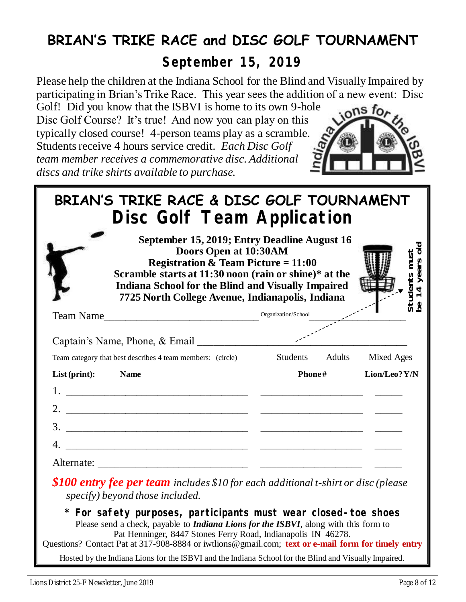## **BRIAN'S TRIKE RACE and DISC GOLF TOURNAMENT**

**September 15, 2019**

Please help the children at the Indiana School for the Blind and Visually Impaired by participating in Brian's Trike Race. This year sees the addition of a new event: Disc

Golf! Did you know that the ISBVI is home to its own 9-hole Disc Golf Course? It's true! And now you can play on this typically closed course! 4-person teams play as a scramble. Students receive 4 hours service credit. *Each Disc Golf team member receives a commemorative disc. Additional discs and trike shirts available to purchase.*



| BRIAN'S TRIKE RACE & DISC GOLF TOURNAMENT                                                                                                                              |                                                                                                                         |                     |                                |
|------------------------------------------------------------------------------------------------------------------------------------------------------------------------|-------------------------------------------------------------------------------------------------------------------------|---------------------|--------------------------------|
| Disc Golf Team Application                                                                                                                                             |                                                                                                                         |                     |                                |
| Scramble starts at 11:30 noon (rain or shine)* at the<br><b>Indiana School for the Blind and Visually Impaired</b><br>7725 North College Avenue, Indianapolis, Indiana | September 15, 2019; Entry Deadline August 16<br>Doors Open at 10:30AM<br><b>Registration &amp; Team Picture = 11:00</b> |                     | Students musi<br>be 14 years c |
| Team Name                                                                                                                                                              |                                                                                                                         | Organization/School |                                |
|                                                                                                                                                                        |                                                                                                                         |                     |                                |
| Team category that best describes 4 team members: (circle)                                                                                                             |                                                                                                                         | Students Adults     | <b>Mixed Ages</b>              |
| List (print):<br><b>Name</b>                                                                                                                                           |                                                                                                                         | Phone#              | Lion/Leo? Y/N                  |
|                                                                                                                                                                        |                                                                                                                         |                     |                                |
|                                                                                                                                                                        |                                                                                                                         |                     |                                |
|                                                                                                                                                                        |                                                                                                                         |                     |                                |
|                                                                                                                                                                        |                                                                                                                         |                     |                                |
|                                                                                                                                                                        |                                                                                                                         |                     |                                |
| \$100 entry fee per team includes \$10 for each additional t-shirt or disc (please<br>specify) beyond those included.                                                  |                                                                                                                         |                     |                                |
| * For safety purposes, participants must wear closed-toe shoes                                                                                                         |                                                                                                                         |                     |                                |

Please send a check, payable to *Indiana Lions for the ISBVI*, along with this form to Pat Henninger, 8447 Stones Ferry Road, Indianapolis IN 46278. Questions? Contact Pat at 317-908-8884 or iwtlions@gmail.com; **text or e-mail form for timely entry**

Hosted by the Indiana Lions for the ISBVI and the Indiana School for the Blind and Visually Impaired.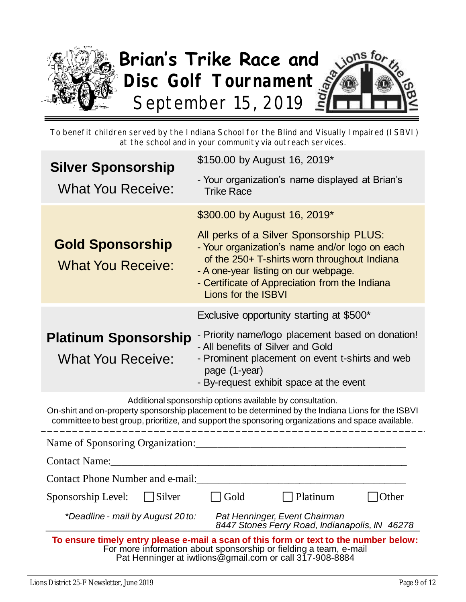

To benefit children served by the Indiana School for the Blind and Visually Impaired (ISBVI) at the school and in your community via outreach services.

| <b>Silver Sponsorship</b>                                                                                                                                                                                                                                             | \$150.00 by August 16, 2019*                                                                                                                                                                                                                               |  |  |  |  |
|-----------------------------------------------------------------------------------------------------------------------------------------------------------------------------------------------------------------------------------------------------------------------|------------------------------------------------------------------------------------------------------------------------------------------------------------------------------------------------------------------------------------------------------------|--|--|--|--|
| <b>What You Receive:</b>                                                                                                                                                                                                                                              | - Your organization's name displayed at Brian's<br><b>Trike Race</b>                                                                                                                                                                                       |  |  |  |  |
|                                                                                                                                                                                                                                                                       | \$300.00 by August 16, 2019*                                                                                                                                                                                                                               |  |  |  |  |
| <b>Gold Sponsorship</b><br><b>What You Receive:</b>                                                                                                                                                                                                                   | All perks of a Silver Sponsorship PLUS:<br>- Your organization's name and/or logo on each<br>of the 250+ T-shirts worn throughout Indiana<br>- A one-year listing on our webpage.<br>- Certificate of Appreciation from the Indiana<br>Lions for the ISBVI |  |  |  |  |
|                                                                                                                                                                                                                                                                       | Exclusive opportunity starting at \$500*                                                                                                                                                                                                                   |  |  |  |  |
| - Priority name/logo placement based on donation!<br><b>Platinum Sponsorship</b><br>- All benefits of Silver and Gold<br><b>What You Receive:</b><br>- Prominent placement on event t-shirts and web<br>page (1-year)<br>- By-request exhibit space at the event      |                                                                                                                                                                                                                                                            |  |  |  |  |
| Additional sponsorship options available by consultation.<br>On-shirt and on-property sponsorship placement to be determined by the Indiana Lions for the ISBVI<br>committee to best group, prioritize, and support the sponsoring organizations and space available. |                                                                                                                                                                                                                                                            |  |  |  |  |
| Name of Sponsoring Organization:                                                                                                                                                                                                                                      |                                                                                                                                                                                                                                                            |  |  |  |  |
| <b>Contact Name:</b>                                                                                                                                                                                                                                                  |                                                                                                                                                                                                                                                            |  |  |  |  |
| Contact Phone Number and e-mail:                                                                                                                                                                                                                                      |                                                                                                                                                                                                                                                            |  |  |  |  |
| Sponsorship Level:<br>Silver                                                                                                                                                                                                                                          | Gold<br>Platinum<br>Other                                                                                                                                                                                                                                  |  |  |  |  |
| *Deadline - mail by August 20 to:                                                                                                                                                                                                                                     | Pat Henninger, Event Chairman<br>8447 Stones Ferry Road, Indianapolis, IN 46278                                                                                                                                                                            |  |  |  |  |
| To ensure timely entry please e-mail a scan of this form or text to the number below:<br>For more information about sponsorship or fielding a team, e-mail<br>Pat Henninger at iwtlions@gmail.com or call 317-908-8884                                                |                                                                                                                                                                                                                                                            |  |  |  |  |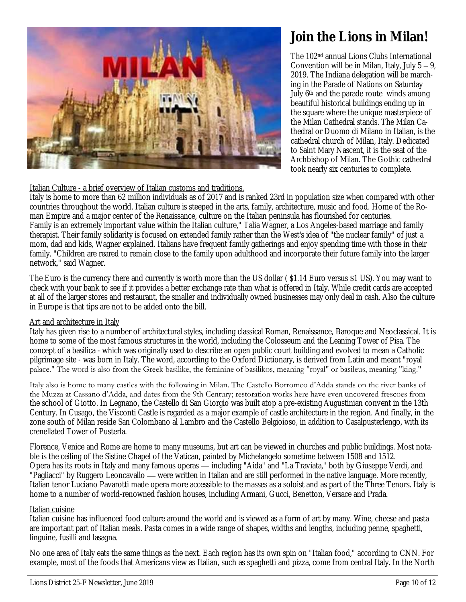

## **Join the Lions in Milan!**

The 102nd annual Lions Clubs International Convention will be in Milan, Italy, July 5 – 9, 2019. The Indiana delegation will be marching in the Parade of Nations on Saturday July 6<sup>th</sup> and the parade route winds among beautiful historical buildings ending up in the square where the unique masterpiece of the Milan Cathedral stands. The Milan Cathedral or Duomo di Milano in Italian, is the cathedral church of Milan, Italy. Dedicated to Saint Mary Nascent, it is the seat of the Archbishop of Milan. The Gothic cathedral took nearly six centuries to complete.

#### Italian Culture - a brief overview of Italian customs and traditions.

Italy is home to more than 62 million individuals as of 2017 and is ranked 23rd in population size when compared with other countries throughout the world. Italian culture is steeped in the arts, family, architecture, music and food. Home of the Roman Empire and a major center of the Renaissance, culture on the Italian peninsula has flourished for centuries. Family is an extremely important value within the Italian culture," Talia Wagner, a Los Angeles-based marriage and family therapist. Their family solidarity is focused on extended family rather than the West's idea of "the nuclear family" of just a mom, dad and kids, Wagner explained. Italians have frequent family gatherings and enjoy spending time with those in their family. "Children are reared to remain close to the family upon adulthood and incorporate their future family into the larger network," said Wagner.

The Euro is the currency there and currently is worth more than the US dollar ( \$1.14 Euro versus \$1 US). You may want to check with your bank to see if it provides a better exchange rate than what is offered in Italy. While credit cards are accepted at all of the larger stores and restaurant, the smaller and individually owned businesses may only deal in cash. Also the culture in Europe is that tips are not to be added onto the bill.

#### Art and architecture in Italy

Italy has given rise to a number of architectural styles, including classical Roman, Renaissance, Baroque and Neoclassical. It is home to some of the most famous structures in the world, including the Colosseum and the Leaning Tower of Pisa. The concept of a basilica - which was originally used to describe an open public court building and evolved to mean a Catholic pilgrimage site - was born in Italy. The word, according to the Oxford Dictionary, is derived from Latin and meant "royal palace." The word is also from the Greek basilikē, the feminine of basilikos, meaning "royal" or basileus, meaning "king."

Italy also is home to many castles with the following in Milan. The Castello Borromeo d'Adda stands on the river banks of the Muzza at Cassano d'Adda, and dates from the 9th Century; restoration works here have even uncovered frescoes from the school of Giotto. In Legnano, the Castello di San Giorgio was built atop a pre-existing Augustinian convent in the 13th Century. In Cusago, the Visconti Castle is regarded as a major example of castle architecture in the region. And finally, in the zone south of Milan reside San Colombano al Lambro and the Castello Belgioioso, in addition to Casalpusterlengo, with its crenellated Tower of Pusterla.

Florence, Venice and Rome are home to many museums, but art can be viewed in churches and public buildings. Most notable is the ceiling of the Sistine Chapel of the Vatican, painted by Michelangelo sometime between 1508 and 1512. Opera has its roots in Italy and many famous operas — including "Aida" and "La Traviata," both by Giuseppe Verdi, and "Pagliacci" by Ruggero Leoncavallo — were written in Italian and are still performed in the native language. More recently, Italian tenor Luciano Pavarotti made opera more accessible to the masses as a soloist and as part of the Three Tenors. Italy is home to a number of world-renowned fashion houses, including Armani, Gucci, Benetton, Versace and Prada.

#### Italian cuisine

Italian cuisine has influenced food culture around the world and is viewed as a form of art by many. Wine, cheese and pasta are important part of Italian meals. Pasta comes in a wide range of shapes, widths and lengths, including penne, spaghetti, linguine, fusilli and lasagna.

No one area of Italy eats the same things as the next. Each region has its own spin on "Italian food," according to CNN. For example, most of the foods that Americans view as Italian, such as spaghetti and pizza, come from central Italy. In the North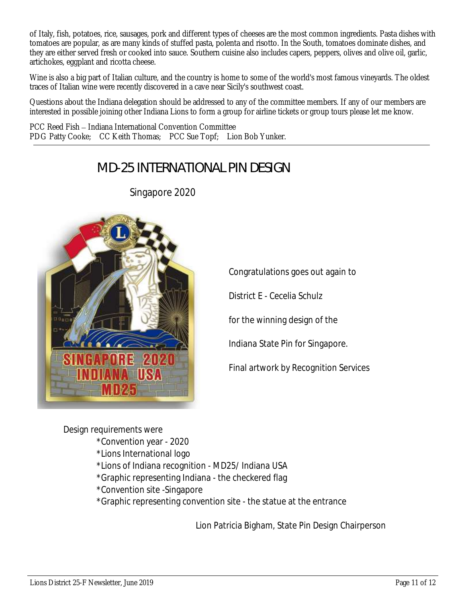of Italy, fish, potatoes, rice, sausages, pork and different types of cheeses are the most common ingredients. Pasta dishes with tomatoes are popular, as are many kinds of stuffed pasta, polenta and risotto. In the South, tomatoes dominate dishes, and they are either served fresh or cooked into sauce. Southern cuisine also includes capers, peppers, olives and olive oil, garlic, artichokes, eggplant and ricotta cheese.

Wine is also a big part of Italian culture, and the country is home to some of the world's most famous vineyards. The oldest traces of Italian wine were recently discovered in a cave near Sicily's southwest coast.

Questions about the Indiana delegation should be addressed to any of the committee members. If any of our members are interested in possible joining other Indiana Lions to form a group for airline tickets or group tours please let me know.

PCC Reed Fish – Indiana International Convention Committee PDG Patty Cooke; CC Keith Thomas; PCC Sue Topf; Lion Bob Yunker.

## *MD-25 INTERNATIONAL PIN DESIGN*



Singapore 2020

Congratulations goes out again to

District E - Cecelia Schulz

for the winning design of the

Indiana State Pin for Singapore.

Final artwork by Recognition Services

Design requirements were \*Convention year - 2020 \*Lions International logo \*Lions of Indiana recognition - MD25/ Indiana USA \*Graphic representing Indiana - the checkered flag \*Convention site -Singapore \*Graphic representing convention site - the statue at the entrance

Lion Patricia Bigham, State Pin Design Chairperson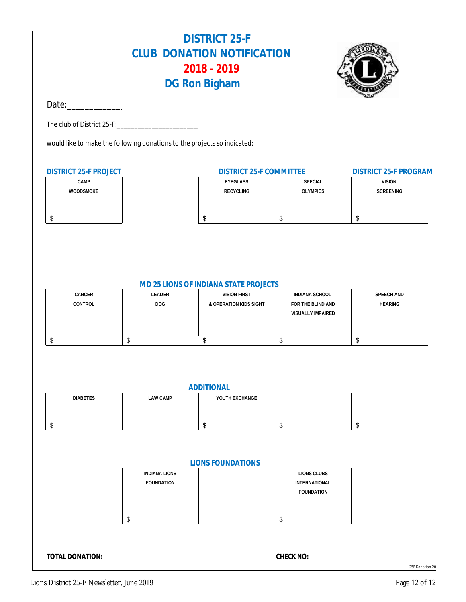## **DISTRICT 25-F CLUB DONATION NOTIFICATION 2018 - 2019 DG Ron Bigham**



Date:\_\_\_\_\_\_\_\_\_\_\_\_\_\_\_\_\_\_\_\_\_\_\_\_\_\_\_\_\_\_\_

The club of District 25-F:

would like to make the following donations to the projects so indicated:

| DISTRICT 25-F PROJECT | DISTRICT 25-F COMMITTEE | DISTRICT 25-F PROGRAM |               |  |
|-----------------------|-------------------------|-----------------------|---------------|--|
| <b>CAMP</b>           | EYEGLASS                | SPECIAL               | <b>VISION</b> |  |
| <b>WOODSMOKE</b>      | RECYCLING               | <b>OLYMPICS</b>       | SCREENING     |  |
|                       |                         |                       |               |  |
|                       |                         |                       |               |  |
|                       |                         |                       |               |  |

#### **MD 25 LIONS OF INDIANA STATE PROJECTS**

| CANCER  | LEADER | VISION FIRST           | INDIANA SCHOOL    | SPEECH AND     |
|---------|--------|------------------------|-------------------|----------------|
| CONTROL | DOG    | & OPERATION KIDS SIGHT | FOR THE BLIND AND | <b>HEARING</b> |
|         |        |                        | VISUALLY IMPAIRED |                |
|         |        |                        |                   |                |
|         |        |                        |                   |                |
|         |        |                        |                   |                |

| ADDITIONAL |          |                |  |  |
|------------|----------|----------------|--|--|
| DIABETES   | LAW CAMP | YOUTH EXCHANGE |  |  |
|            |          |                |  |  |
|            |          |                |  |  |
|            |          |                |  |  |